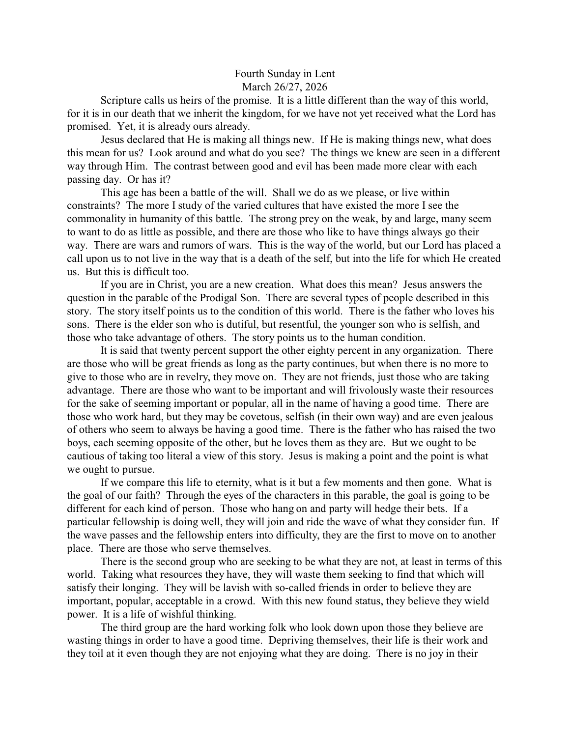## Fourth Sunday in Lent March 26/27, 2026

Scripture calls us heirs of the promise. It is a little different than the way of this world, for it is in our death that we inherit the kingdom, for we have not yet received what the Lord has promised. Yet, it is already ours already.

Jesus declared that He is making all things new. If He is making things new, what does this mean for us? Look around and what do you see? The things we knew are seen in a different way through Him. The contrast between good and evil has been made more clear with each passing day. Or has it?

This age has been a battle of the will. Shall we do as we please, or live within constraints? The more I study of the varied cultures that have existed the more I see the commonality in humanity of this battle. The strong prey on the weak, by and large, many seem to want to do as little as possible, and there are those who like to have things always go their way. There are wars and rumors of wars. This is the way of the world, but our Lord has placed a call upon us to not live in the way that is a death of the self, but into the life for which He created us. But this is difficult too.

If you are in Christ, you are a new creation. What does this mean? Jesus answers the question in the parable of the Prodigal Son. There are several types of people described in this story. The story itself points us to the condition of this world. There is the father who loves his sons. There is the elder son who is dutiful, but resentful, the younger son who is selfish, and those who take advantage of others. The story points us to the human condition.

It is said that twenty percent support the other eighty percent in any organization. There are those who will be great friends as long as the party continues, but when there is no more to give to those who are in revelry, they move on. They are not friends, just those who are taking advantage. There are those who want to be important and will frivolously waste their resources for the sake of seeming important or popular, all in the name of having a good time. There are those who work hard, but they may be covetous, selfish (in their own way) and are even jealous of others who seem to always be having a good time. There is the father who has raised the two boys, each seeming opposite of the other, but he loves them as they are. But we ought to be cautious of taking too literal a view of this story. Jesus is making a point and the point is what we ought to pursue.

If we compare this life to eternity, what is it but a few moments and then gone. What is the goal of our faith? Through the eyes of the characters in this parable, the goal is going to be different for each kind of person. Those who hang on and party will hedge their bets. If a particular fellowship is doing well, they will join and ride the wave of what they consider fun. If the wave passes and the fellowship enters into difficulty, they are the first to move on to another place. There are those who serve themselves.

There is the second group who are seeking to be what they are not, at least in terms of this world. Taking what resources they have, they will waste them seeking to find that which will satisfy their longing. They will be lavish with so-called friends in order to believe they are important, popular, acceptable in a crowd. With this new found status, they believe they wield power. It is a life of wishful thinking.

The third group are the hard working folk who look down upon those they believe are wasting things in order to have a good time. Depriving themselves, their life is their work and they toil at it even though they are not enjoying what they are doing. There is no joy in their